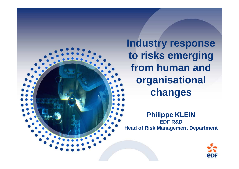**Industry response to risks emerging from human and organisationalchanges**

**Philippe KLEINEDF R&DHead of Risk Management Department**

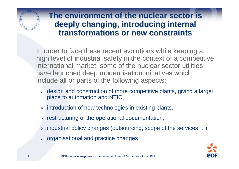#### **The environment of the nuclear sector is deeply changing, introducing internal transformations or new constraints**

In order to face these recent evolutions while keeping a high level of industrial safety in the context of a competitive international market, some of the nuclear sector utilities have launched deep modernisation initiatives which include all or parts of the following aspects:

- > design and construction of more competitive plants, giving a larger place to automation and NTIC,
- > introduction of new technologies in existing plants,
- $\triangleright$  restructuring of the operational documentation,
- $\triangleright$  industrial policy changes (outsourcing, scope of the services...)
- $\triangleright$  organisational and practice changes

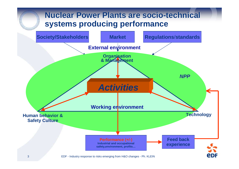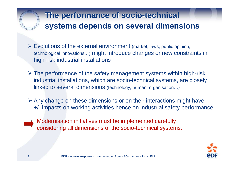# **The performance of socio-technical systems depends on several dimensions**

- $\triangleright$  Evolutions of the external environment (market, laws, public opinion, technological innovations…) might introduce changes or new constraints in high-risk industrial installations
- > The performance of the safety management systems within high-risk<br>inductrial installations, which are assis toobnies exctame are closely industrial installations, which are socio-technical systems, are closely linked to several dimensions (technology, human, organisation…)
- $\triangleright$  Any change on these dimensions or on their interactions might have +/- impacts on working activities hence on industrial safety performance
- 
- Modernisation initiatives must be implemented carefullyconsidering all dimensions of the socio-technical systems.

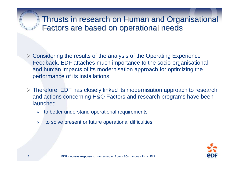#### Thrusts in research on Human and Organisational Factors are based on operational needs

- > Considering the results of the analysis of the Operating Experience Feedback, EDF attaches much importance to the socio-organisationaland human impacts of its modernisation approach for optimizing the performance of its installations.
- $\triangleright$  Therefore, EDF has closely linked its modernisation approach to research and actions concerning H&O Factors and research programs have been launched :
	- to better understand operational requirements
	- $\blacktriangleright$ to solve present or future operational difficulties

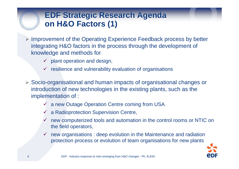## **EDF Strategic Research Agendaon H&O Factors (1)**

- > Improvement of the Operating Experience Feedback process by better integrating H&O factors in the process through the development of knowledge and methods for
	- $\checkmark$  plant operation and design,
	- resilience and vulnerability evaluation of organisations
- Socio-organisational and human impacts of organisational changes or introduction of new technologies in the existing plants, such as the implementation of :
	- a new Outage Operation Centre coming from USA
	- a Radioprotection Supervision Centre,
	- $\checkmark$  new computerized tools and automation in the control rooms or NTIC on the field operators,
	- $\checkmark$  new organisations : deep evolution in the Maintenance and radiation protection process or evolution of team organisations for new plants



2000年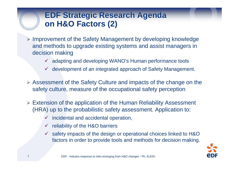## **EDF Strategic Research Agendaon H&O Factors (2)**

- > Improvement of the Safety Management by developing knowledge and methods to upgrade existing systems and assist managers in decision making
	- adapting and developing WANO's Human performance tools
	- development of an integrated approach of Safety Management.
- Assessment of the Safety Culture and impacts of the change on the safety culture, measure of the occupational safety perception
- Extension of the application of the Human Reliability Assessment (HRA) up to the probabilistic safety assessment. Application to:
	- incidental and accidental operation,
	- $\checkmark$  reliability of the H&O barriers
	- safety impacts of the design or operational choices linked to H&O factors in order to provide tools and methods for decision making.



2000年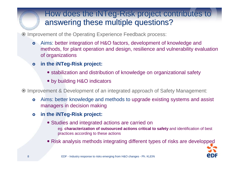#### How does the iNTeg-Risk project contributes to<br>answering these multiple questions? answering these multiple questions?

O Improvement of the Operating Experience Feedback process:

- $\bullet$  Aims: better integration of H&O factors, development of knowledge and methods, for plant operation and design, resilience and vulnerability evaluation of organizations
- $\bullet$  **in the iNTeg-Risk project:**
	- stabilization and distribution of knowledge on organizational safety
	- by building H&O indicators

Improvement & Development of an integrated approach of Safety Management:

- $\bullet$  Aims: better knowledge and methods to upgrade existing systems and assist managers in decision making
- $\bullet$  **in the iNTeg-Risk project:**
	- Studies and integrated actions are carried on
		- eg. **characterization of outsourced actions critical to safety** and identification of best practices according to these actions
	- Risk analysis methods integrating different types of risks are developped



I.